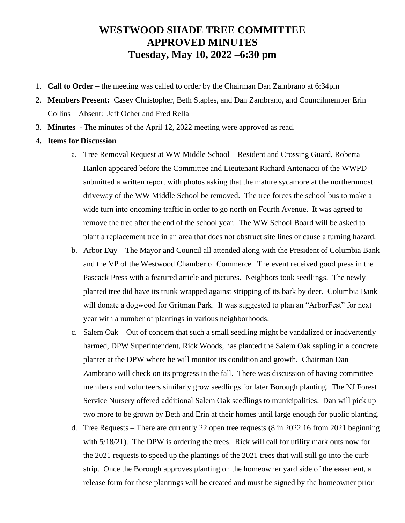## **WESTWOOD SHADE TREE COMMITTEE APPROVED MINUTES Tuesday, May 10, 2022 –6:30 pm**

- 1. **Call to Order –** the meeting was called to order by the Chairman Dan Zambrano at 6:34pm
- 2. **Members Present:** Casey Christopher, Beth Staples, and Dan Zambrano, and Councilmember Erin Collins – Absent: Jeff Ocher and Fred Rella
- 3. **Minutes**  The minutes of the April 12, 2022 meeting were approved as read.
- **4. Items for Discussion**
	- a. Tree Removal Request at WW Middle School Resident and Crossing Guard, Roberta Hanlon appeared before the Committee and Lieutenant Richard Antonacci of the WWPD submitted a written report with photos asking that the mature sycamore at the northernmost driveway of the WW Middle School be removed. The tree forces the school bus to make a wide turn into oncoming traffic in order to go north on Fourth Avenue. It was agreed to remove the tree after the end of the school year. The WW School Board will be asked to plant a replacement tree in an area that does not obstruct site lines or cause a turning hazard.
	- b. Arbor Day The Mayor and Council all attended along with the President of Columbia Bank and the VP of the Westwood Chamber of Commerce. The event received good press in the Pascack Press with a featured article and pictures. Neighbors took seedlings. The newly planted tree did have its trunk wrapped against stripping of its bark by deer. Columbia Bank will donate a dogwood for Gritman Park. It was suggested to plan an "ArborFest" for next year with a number of plantings in various neighborhoods.
	- c. Salem Oak Out of concern that such a small seedling might be vandalized or inadvertently harmed, DPW Superintendent, Rick Woods, has planted the Salem Oak sapling in a concrete planter at the DPW where he will monitor its condition and growth. Chairman Dan Zambrano will check on its progress in the fall. There was discussion of having committee members and volunteers similarly grow seedlings for later Borough planting. The NJ Forest Service Nursery offered additional Salem Oak seedlings to municipalities. Dan will pick up two more to be grown by Beth and Erin at their homes until large enough for public planting.
	- d. Tree Requests There are currently 22 open tree requests (8 in 2022 16 from 2021 beginning with 5/18/21). The DPW is ordering the trees. Rick will call for utility mark outs now for the 2021 requests to speed up the plantings of the 2021 trees that will still go into the curb strip. Once the Borough approves planting on the homeowner yard side of the easement, a release form for these plantings will be created and must be signed by the homeowner prior